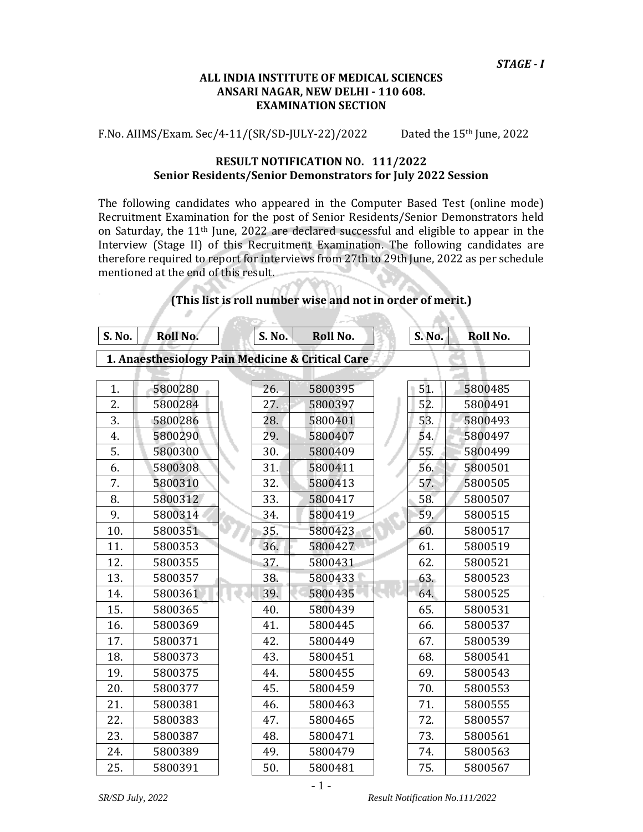#### **ALL INDIA INSTITUTE OF MEDICAL SCIENCES ANSARI NAGAR, NEW DELHI 110 608. EXAMINATION SECTION**

F.No. AIIMS/Exam. Sec/4‐11/(SR/SD‐JULY‐22)/2022 Dated the 15th June, 2022

#### **RESULT NOTIFICATION NO. 111/2022 Senior Residents/Senior Demonstrators for July 2022 Session**

The following candidates who appeared in the Computer Based Test (online mode) Recruitment Examination for the post of Senior Residents/Senior Demonstrators held on Saturday, the 11th June, 2022 are declared successful and eligible to appear in the Interview (Stage II) of this Recruitment Examination. The following candidates are therefore required to report for interviews from 27th to 29th June, 2022 as per schedule mentioned at the end of this result.

| S. No. | <b>Roll No.</b>                                  |  | <b>S. No.</b> | Roll No. |  | S. No. | Roll No. |  |
|--------|--------------------------------------------------|--|---------------|----------|--|--------|----------|--|
|        | 1. Anaesthesiology Pain Medicine & Critical Care |  |               |          |  |        |          |  |
|        |                                                  |  |               |          |  |        |          |  |
| 1.     | 5800280                                          |  | 26.           | 5800395  |  | 51.    | 5800485  |  |
| 2.     | 5800284                                          |  | 27.           | 5800397  |  | 52.    | 5800491  |  |
| 3.     | 5800286                                          |  | 28.           | 5800401  |  | 53.    | 5800493  |  |
| 4.     | 5800290                                          |  | 29.           | 5800407  |  | 54.    | 5800497  |  |
| 5.     | 5800300                                          |  | 30.           | 5800409  |  | 55.    | 5800499  |  |
| 6.     | 5800308                                          |  | 31.           | 5800411  |  | 56.    | 5800501  |  |
| 7.     | 5800310                                          |  | 32.           | 5800413  |  | 57.    | 5800505  |  |
| 8.     | 5800312                                          |  | 33.           | 5800417  |  | 58.    | 5800507  |  |
| 9.     | 5800314                                          |  | 34.           | 5800419  |  | 59.    | 5800515  |  |
| 10.    | 5800351                                          |  | 35.           | 5800423  |  | 60.    | 5800517  |  |
| 11.    | 5800353                                          |  | 36.           | 5800427  |  | 61.    | 5800519  |  |
| 12.    | 5800355                                          |  | 37.           | 5800431  |  | 62.    | 5800521  |  |
| 13.    | 5800357                                          |  | 38.           | 5800433  |  | 63.    | 5800523  |  |
| 14.    | 5800361                                          |  | 39.           | 5800435  |  | 64.    | 5800525  |  |
| 15.    | 5800365                                          |  | 40.           | 5800439  |  | 65.    | 5800531  |  |
| 16.    | 5800369                                          |  | 41.           | 5800445  |  | 66.    | 5800537  |  |
| 17.    | 5800371                                          |  | 42.           | 5800449  |  | 67.    | 5800539  |  |
| 18.    | 5800373                                          |  | 43.           | 5800451  |  | 68.    | 5800541  |  |
| 19.    | 5800375                                          |  | 44.           | 5800455  |  | 69.    | 5800543  |  |
| 20.    | 5800377                                          |  | 45.           | 5800459  |  | 70.    | 5800553  |  |
| 21.    | 5800381                                          |  | 46.           | 5800463  |  | 71.    | 5800555  |  |
| 22.    | 5800383                                          |  | 47.           | 5800465  |  | 72.    | 5800557  |  |
| 23.    | 5800387                                          |  | 48.           | 5800471  |  | 73.    | 5800561  |  |
| 24.    | 5800389                                          |  | 49.           | 5800479  |  | 74.    | 5800563  |  |
| 25.    | 5800391                                          |  | 50.           | 5800481  |  | 75.    | 5800567  |  |

#### **(This list is roll number wise and not in order of merit.)**

 $\sim$ 

- 1 -

*SR/SD July, 2022 Result Notification No.111/2022* 

A.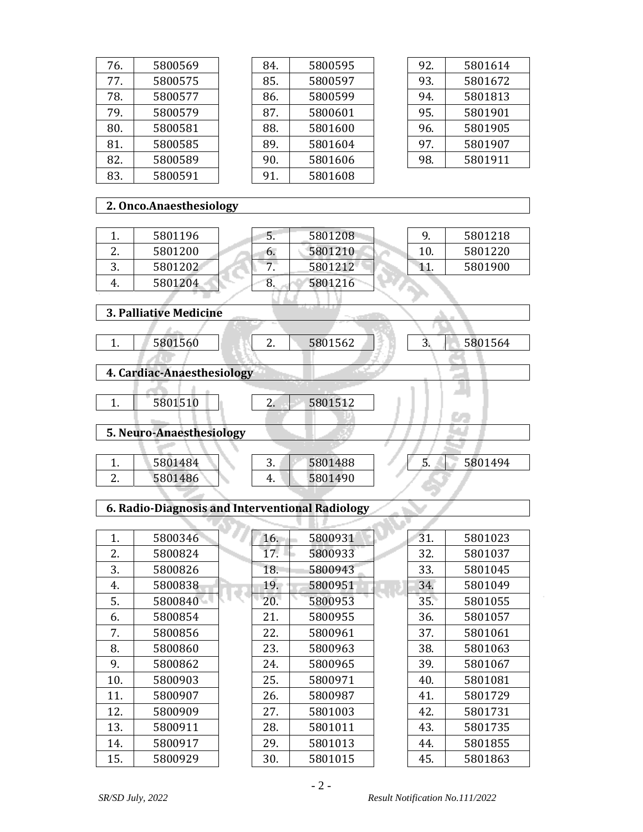| 76.            | 5800569 |  |  |  |
|----------------|---------|--|--|--|
| 77.            | 5800575 |  |  |  |
| 78.            | 5800577 |  |  |  |
| 79.            | 5800579 |  |  |  |
| 80.            | 5800581 |  |  |  |
| 81.            | 5800585 |  |  |  |
| 82.            | 5800589 |  |  |  |
| 5800591<br>83. |         |  |  |  |

| 84. | 5800595 |
|-----|---------|
| 85. | 5800597 |
| 86. | 5800599 |
| 87. | 5800601 |
| 88. | 5801600 |
| 89. | 5801604 |
| 90. | 5801606 |
| 91. | 5801608 |
|     |         |

| 92. | 5801614 |
|-----|---------|
| 93. | 5801672 |
| 94. | 5801813 |
| 95. | 5801901 |
| 96. | 5801905 |
| 97. | 5801907 |
| 98. | 5801911 |
|     |         |

9. 5801218 10. 5801220 11. 5801900

# **2. Onco.Anaesthesiology**

|               | 5801196 |
|---------------|---------|
| $\mathcal{L}$ | 5801200 |
| З.            | 5801202 |
|               | 5801204 |

| .5. | 5801208 |  |
|-----|---------|--|
| 6.  | 5801210 |  |
|     | 5801212 |  |
| 8   | 5801216 |  |
|     |         |  |

**3.** Pallia

| 3. Palliative Medicine     |                          |
|----------------------------|--------------------------|
|                            |                          |
| 5801560                    | 5801562<br>5801564<br>2. |
|                            |                          |
| 4. Cardiac-Anaesthesiology |                          |
|                            |                          |
| 5801510                    | 5801512<br>2.            |
|                            |                          |
| 5. Neuro-Anaesthesiology   |                          |
|                            |                          |

| 5801484 | J.    | 5801488 | . | 5801494 |
|---------|-------|---------|---|---------|
| 5801486 | 4<br> | 5801490 |   |         |

### **6. RadioDiagnosis and Interventional Radiology**

| 1.  | 5800346 | 16. | 5800931 | 31. | 5801023 |
|-----|---------|-----|---------|-----|---------|
| 2.  | 5800824 | 17. | 5800933 | 32. | 5801037 |
| 3.  | 5800826 | 18. | 5800943 | 33. | 5801045 |
| 4.  | 5800838 | 19. | 5800951 | 34. | 5801049 |
| 5.  | 5800840 | 20. | 5800953 | 35. | 5801055 |
| 6.  | 5800854 | 21. | 5800955 | 36. | 5801057 |
| 7.  | 5800856 | 22. | 5800961 | 37. | 5801061 |
| 8.  | 5800860 | 23. | 5800963 | 38. | 5801063 |
| 9.  | 5800862 | 24. | 5800965 | 39. | 5801067 |
| 10. | 5800903 | 25. | 5800971 | 40. | 5801081 |
| 11. | 5800907 | 26. | 5800987 | 41. | 5801729 |
| 12. | 5800909 | 27. | 5801003 | 42. | 5801731 |
| 13. | 5800911 | 28. | 5801011 | 43. | 5801735 |
| 14. | 5800917 | 29. | 5801013 | 44. | 5801855 |
| 15. | 5800929 | 30. | 5801015 | 45. | 5801863 |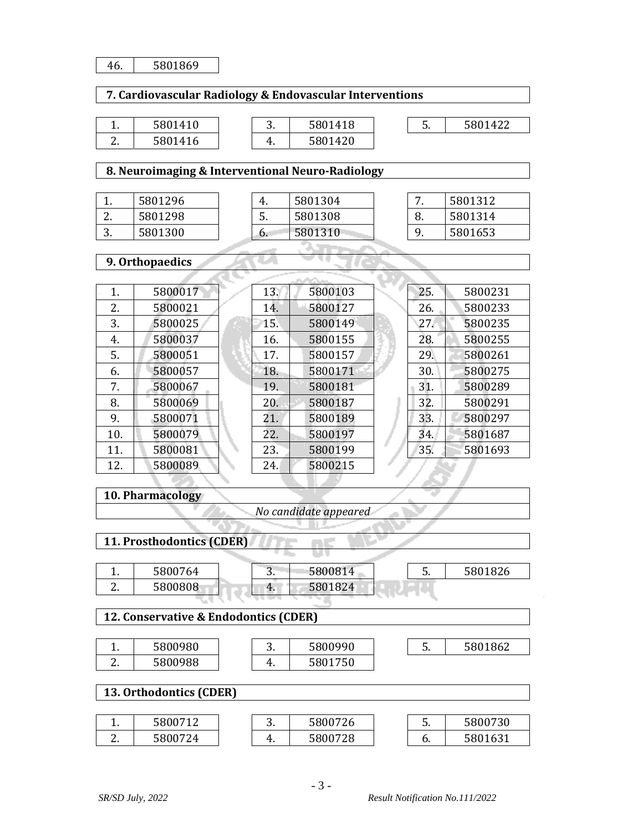| 46. | 5801869                                                  |     |                       |     |         |
|-----|----------------------------------------------------------|-----|-----------------------|-----|---------|
|     | 7. Cardiovascular Radiology & Endovascular Interventions |     |                       |     |         |
|     |                                                          |     |                       |     |         |
| 1.  | 5801410                                                  | 3.  | 5801418               | 5.  | 5801422 |
| 2.  | 5801416                                                  | 4.  | 5801420               |     |         |
|     |                                                          |     |                       |     |         |
|     | 8. Neuroimaging & Interventional Neuro-Radiology         |     |                       |     |         |
| 1.  | 5801296                                                  | 4.  | 5801304               | 7.  | 5801312 |
| 2.  | 5801298                                                  | 5.  | 5801308               | 8.  | 5801314 |
| 3.  | 5801300                                                  | 6.  | 5801310               | 9.  | 5801653 |
|     |                                                          |     |                       |     |         |
|     | 9. Orthopaedics                                          |     |                       |     |         |
|     |                                                          |     |                       |     |         |
| 1.  | 5800017                                                  | 13. | 5800103               | 25. | 5800231 |
| 2.  | 5800021                                                  | 14. | 5800127               | 26. | 5800233 |
| 3.  | 5800025                                                  | 15. | 5800149               | 27. | 5800235 |
| 4.  | 5800037                                                  | 16. | 5800155               | 28. | 5800255 |
| 5.  | 5800051                                                  | 17. | 5800157               | 29. | 5800261 |
| 6.  | 5800057                                                  | 18. | 5800171               | 30. | 5800275 |
| 7.  | 5800067                                                  | 19. | 5800181               | 31. | 5800289 |
| 8.  | 5800069                                                  | 20. | 5800187               | 32. | 5800291 |
| 9.  | 5800071                                                  | 21. | 5800189               | 33. | 5800297 |
| 10. | 5800079                                                  | 22. | 5800197               | 34. | 5801687 |
| 11. | 5800081                                                  | 23. | 5800199               | 35. | 5801693 |
| 12. | 5800089                                                  | 24. | 5800215               |     |         |
|     |                                                          |     |                       |     |         |
|     | 10. Pharmacology                                         |     |                       |     |         |
|     |                                                          |     | No candidate appeared |     |         |
|     |                                                          |     |                       |     |         |
|     | 11. Prosthodontics (CDER)                                |     |                       |     |         |
|     |                                                          |     |                       |     |         |
| 1.  | 5800764                                                  | 3.  | 5800814               | 5.  | 5801826 |
| 2.  | 5800808                                                  | 4.  | 5801824               |     |         |
|     | 12. Conservative & Endodontics (CDER)                    |     |                       |     |         |
|     |                                                          |     |                       |     |         |
| 1.  | 5800980                                                  | 3.  | 5800990               | 5.  | 5801862 |
| 2.  | 5800988                                                  | 4.  | 5801750               |     |         |
|     |                                                          |     |                       |     |         |
|     | 13. Orthodontics (CDER)                                  |     |                       |     |         |
| 1.  | 5800712                                                  | 3.  | 5800726               | 5.  | 5800730 |
| 2.  | 5800724                                                  | 4.  | 5800728               | 6.  | 5801631 |
|     |                                                          |     |                       |     |         |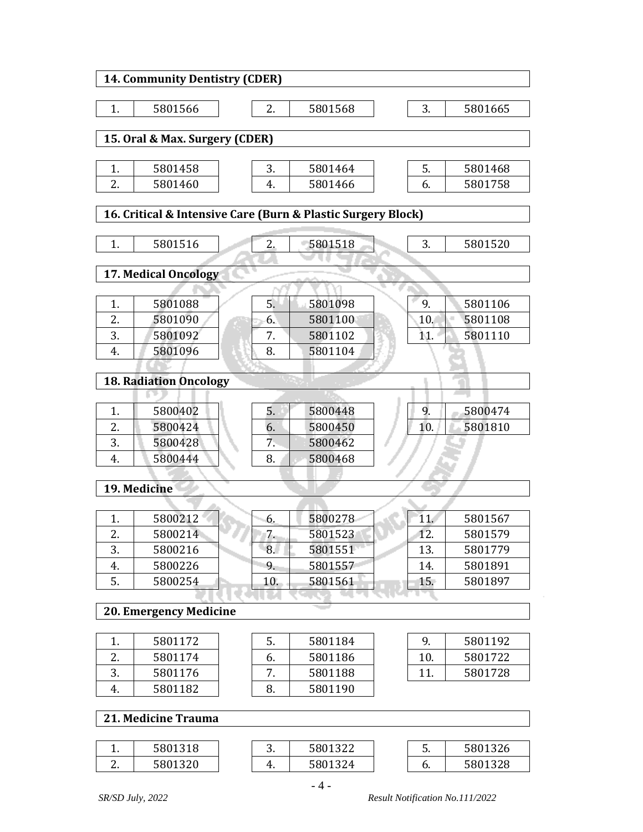|                                                              | <b>14. Community Dentistry (CDER)</b> |  |     |         |  |     |         |  |  |
|--------------------------------------------------------------|---------------------------------------|--|-----|---------|--|-----|---------|--|--|
| 1.                                                           | 5801566                               |  | 2.  | 5801568 |  | 3.  | 5801665 |  |  |
|                                                              |                                       |  |     |         |  |     |         |  |  |
|                                                              | 15. Oral & Max. Surgery (CDER)        |  |     |         |  |     |         |  |  |
|                                                              |                                       |  |     |         |  |     |         |  |  |
| 1.                                                           | 5801458                               |  | 3.  | 5801464 |  | 5.  | 5801468 |  |  |
| 2.                                                           | 5801460                               |  | 4.  | 5801466 |  | 6.  | 5801758 |  |  |
| 16. Critical & Intensive Care (Burn & Plastic Surgery Block) |                                       |  |     |         |  |     |         |  |  |
|                                                              |                                       |  |     |         |  |     |         |  |  |
| 1.                                                           | 5801516                               |  | 2.  | 5801518 |  | 3.  | 5801520 |  |  |
|                                                              |                                       |  |     |         |  |     |         |  |  |
|                                                              | 17. Medical Oncology                  |  |     |         |  |     |         |  |  |
|                                                              |                                       |  |     |         |  |     |         |  |  |
| 1.                                                           | 5801088                               |  | 5.  | 5801098 |  | 9.  | 5801106 |  |  |
| 2.                                                           | 5801090                               |  | 6.  | 5801100 |  | 10. | 5801108 |  |  |
| 3.                                                           | 5801092                               |  | 7.  | 5801102 |  | 11. | 5801110 |  |  |
| 4.                                                           | 5801096                               |  | 8.  | 5801104 |  |     |         |  |  |
|                                                              |                                       |  |     |         |  |     |         |  |  |
|                                                              | <b>18. Radiation Oncology</b>         |  |     |         |  |     |         |  |  |
|                                                              |                                       |  |     |         |  |     |         |  |  |
| 1.                                                           | 5800402                               |  | 5.  | 5800448 |  | 9.  | 5800474 |  |  |
| 2.                                                           | 5800424                               |  | 6.  | 5800450 |  | 10. | 5801810 |  |  |
| 3.                                                           | 5800428                               |  | 7.  | 5800462 |  |     |         |  |  |
| 4.                                                           | 5800444                               |  | 8.  | 5800468 |  |     |         |  |  |
|                                                              | 19. Medicine                          |  |     |         |  |     |         |  |  |
|                                                              |                                       |  |     |         |  |     |         |  |  |
| 1.                                                           | 5800212                               |  | 6.  | 5800278 |  | 11. | 5801567 |  |  |
| 2.                                                           | 5800214                               |  | 7.  | 5801523 |  | 12. | 5801579 |  |  |
| 3.                                                           | 5800216                               |  | 8.  | 5801551 |  | 13. | 5801779 |  |  |
| 4.                                                           | 5800226                               |  | 9.  | 5801557 |  | 14. | 5801891 |  |  |
| 5.                                                           | 5800254                               |  | 10. | 5801561 |  | 15. | 5801897 |  |  |
|                                                              |                                       |  |     |         |  |     |         |  |  |
|                                                              | <b>20. Emergency Medicine</b>         |  |     |         |  |     |         |  |  |
|                                                              |                                       |  |     |         |  |     |         |  |  |
| 1.                                                           | 5801172                               |  | 5.  | 5801184 |  | 9.  | 5801192 |  |  |
| 2.                                                           | 5801174                               |  | 6.  | 5801186 |  | 10. | 5801722 |  |  |
| 3.                                                           | 5801176                               |  | 7.  | 5801188 |  | 11. | 5801728 |  |  |
| 4.                                                           | 5801182                               |  | 8.  | 5801190 |  |     |         |  |  |
|                                                              | 21. Medicine Trauma                   |  |     |         |  |     |         |  |  |
|                                                              |                                       |  |     |         |  |     |         |  |  |
| 1.                                                           | 5801318                               |  | 3.  | 5801322 |  | 5.  | 5801326 |  |  |
| 2.                                                           | 5801320                               |  | 4.  | 5801324 |  | 6.  | 5801328 |  |  |
|                                                              |                                       |  |     |         |  |     |         |  |  |

- 4 -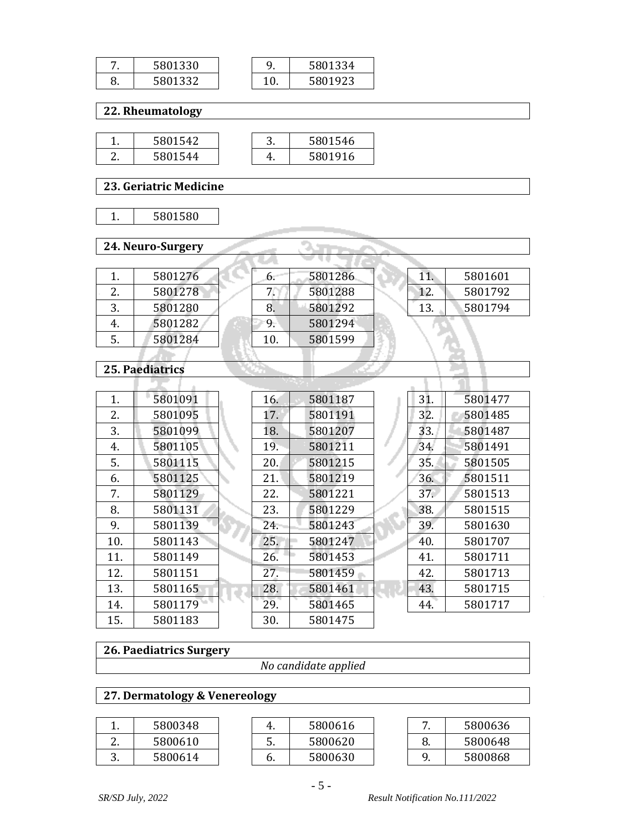|    | 5801330 |     | 5801334 |
|----|---------|-----|---------|
| υ. | 5801332 | τv. | 801923: |

 **22. Rheumatology**

| 5801542 |  | 5801546 |
|---------|--|---------|
| 5801544 |  | 5801916 |

 **23. Geriatric Medicine**

 **24. NeuroSurgery**

|    | 5801276 |
|----|---------|
| 2  | 5801278 |
| २  | 5801280 |
| 4. | 5801282 |
| 5. | 5801284 |
|    |         |

#### **25. Paediatrics**

| 1.  | 5801091 | 16. | 5801187 | 31. | 5801477 |
|-----|---------|-----|---------|-----|---------|
| 2.  | 5801095 | 17. | 5801191 | 32. | 5801485 |
| 3.  | 5801099 | 18. | 5801207 | 33. | 5801487 |
| 4.  | 5801105 | 19. | 5801211 | 34. | 5801491 |
| 5.  | 5801115 | 20. | 5801215 | 35. | 5801505 |
| 6.  | 5801125 | 21. | 5801219 | 36. | 5801511 |
| 7.  | 5801129 | 22. | 5801221 | 37. | 5801513 |
| 8.  | 5801131 | 23. | 5801229 | 38. | 5801515 |
| 9.  | 5801139 | 24. | 5801243 | 39. | 5801630 |
| 10. | 5801143 | 25. | 5801247 | 40. | 5801707 |
| 11. | 5801149 | 26. | 5801453 | 41. | 5801711 |
| 12. | 5801151 | 27. | 5801459 | 42. | 5801713 |
| 13. | 5801165 | 28. | 5801461 | 43. | 5801715 |
| 14. | 5801179 | 29. | 5801465 | 44. | 5801717 |
| 15. | 5801183 | 30. | 5801475 |     |         |

6. 5801286 7. 5801288 8. 5801292 9. 5801294 10. 5801599

a. ter. न्ताइए

w

### **26. Paediatrics Surgery**

*No candidate applied*

### **27. Dermatology & Venereology**

| 5800348 |
|---------|
| 5800610 |
| 5800614 |

|    | 5800616 |  |
|----|---------|--|
| 5. | 5800620 |  |
| h. | 5800630 |  |

|    | 5800636 |
|----|---------|
| 8. | 5800648 |
| q  | 5800868 |

11. 5801601 12. 5801792 13. 5801794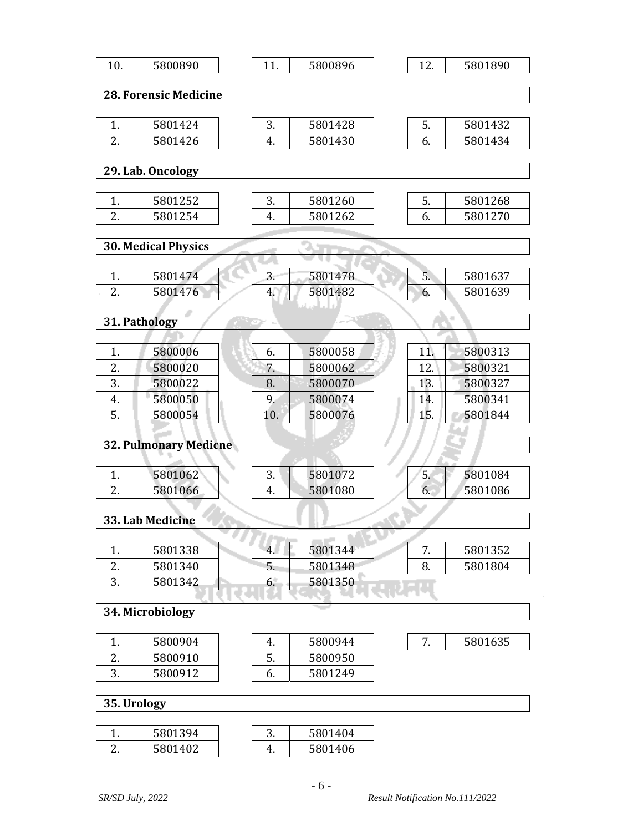| 10. | 5800890                      | 11.      | 5800896 | 12. | 5801890 |
|-----|------------------------------|----------|---------|-----|---------|
|     | <b>28. Forensic Medicine</b> |          |         |     |         |
|     |                              |          |         |     |         |
| 1.  | 5801424                      | 3.       | 5801428 | 5.  | 5801432 |
| 2.  | 5801426                      | 4.       | 5801430 | 6.  | 5801434 |
|     |                              |          |         |     |         |
|     | 29. Lab. Oncology            |          |         |     |         |
|     |                              |          |         |     |         |
| 1.  | 5801252                      | 3.       | 5801260 | 5.  | 5801268 |
| 2.  | 5801254                      | 4.       | 5801262 | 6.  | 5801270 |
|     | <b>30. Medical Physics</b>   |          |         |     |         |
|     |                              |          |         |     |         |
| 1.  | 5801474                      | 3.       | 5801478 | 5.  | 5801637 |
| 2.  | 5801476                      | 4.       | 5801482 | 6.  | 5801639 |
|     |                              |          |         |     |         |
|     | 31. Pathology                |          |         |     |         |
|     |                              |          |         |     |         |
| 1.  | 5800006                      | 6.       | 5800058 | 11. | 5800313 |
| 2.  | 5800020                      | 7.       | 5800062 | 12. | 5800321 |
| 3.  | 5800022                      | 8.       | 5800070 | 13. | 5800327 |
| 4.  | 5800050                      | 9.       | 5800074 | 14. | 5800341 |
| 5.  | 5800054                      | 10.      | 5800076 | 15. | 5801844 |
|     |                              |          |         |     |         |
|     | <b>32. Pulmonary Medicne</b> |          |         |     |         |
|     |                              |          |         |     |         |
| 1.  | 5801062                      | 3.       | 5801072 | 5.  | 5801084 |
| 2.  | 5801066                      | 4.       | 5801080 | 6.  | 5801086 |
|     | 33. Lab Medicine             |          |         |     |         |
|     |                              | s<br>وال |         |     |         |
| 1.  | 5801338                      | 4.       | 5801344 | 7.  | 5801352 |
| 2.  | 5801340                      | 5.       | 5801348 | 8.  | 5801804 |
| 3.  | 5801342                      | 6.       | 5801350 |     |         |
|     |                              |          | - -     |     |         |
|     | 34. Microbiology             |          |         |     |         |
| 1.  | 5800904                      | 4.       | 5800944 | 7.  | 5801635 |
| 2.  | 5800910                      | 5.       | 5800950 |     |         |
| 3.  | 5800912                      | 6.       | 5801249 |     |         |
|     |                              |          |         |     |         |
|     | 35. Urology                  |          |         |     |         |
|     |                              |          |         |     |         |
| 1.  | 5801394                      | 3.       | 5801404 |     |         |

2. 5801402

4. 5801406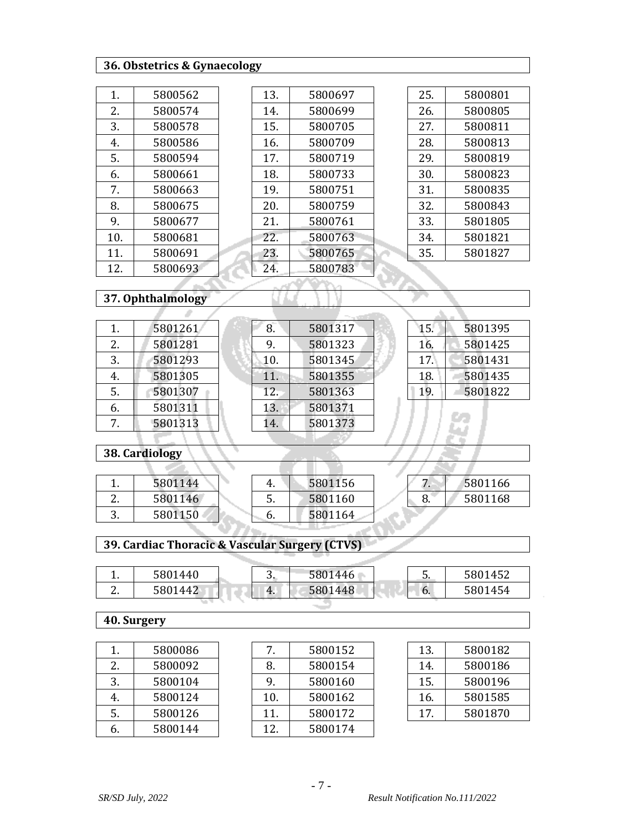## **36. Obstetrics & Gynaecology**

| 1.  | 5800562 |
|-----|---------|
| 2.  | 5800574 |
| 3.  | 5800578 |
| 4.  | 5800586 |
| 5.  | 5800594 |
| 6.  | 5800661 |
| 7.  | 5800663 |
| 8.  | 5800675 |
| 9.  | 5800677 |
| 10. | 5800681 |
| 11. | 5800691 |
| 12. | 5800693 |

| 5800697 |
|---------|
|         |
| 5800699 |
| 5800705 |
| 5800709 |
| 5800719 |
| 5800733 |
| 5800751 |
| 5800759 |
| 5800761 |
| 5800763 |
| 5800765 |
| 5800783 |
|         |

| 25. | 5800801 |
|-----|---------|
| 26. | 5800805 |
| 27. | 5800811 |
| 28. | 5800813 |
| 29. | 5800819 |
| 30. | 5800823 |
| 31. | 5800835 |
| 32. | 5800843 |
| 33. | 5801805 |
| 34. | 5801821 |
| 35. | 5801827 |
|     |         |

15. 5801395 16. 5801425 17. 5801431 18. 5801435 19. 5801822

#### **37. Ophthalmology** A

×.

| 1. | 5801261 |  |
|----|---------|--|
| 2. | 5801281 |  |
| 3. | 5801293 |  |
| 4. | 5801305 |  |
| 5. | 5801307 |  |
| 6. | 5801311 |  |
| 7  | 5801313 |  |

| 8.  | 5801317 |
|-----|---------|
| 9.  | 5801323 |
| 10. | 5801345 |
| 11. | 5801355 |
| 12. | 5801363 |
| 13. | 5801371 |
| 14. | 5801373 |
|     |         |

.

#### **38. Cardiology**

|               | 5801144 |
|---------------|---------|
| $\mathcal{L}$ | 5801146 |
| 3             | 5801150 |

| 4.  | 5801156 |
|-----|---------|
| .5. | 5801160 |
| h.  | 5801164 |

|   | 5801166 |  |  |  |
|---|---------|--|--|--|
| Զ | 5801168 |  |  |  |

### **39. Cardiac Thoracic & Vascular Surgery (CTVS)**

| 5801440<br>5801446<br>ັບ.<br>ັ<br>. . |         |    |         |    |         |
|---------------------------------------|---------|----|---------|----|---------|
|                                       |         |    |         |    | 5801452 |
| <u>.</u>                              | 5801442 | 4. | 5801448 | b. | 5801454 |

## **40. Surgery**

|            | 5800086 |
|------------|---------|
| 2.         | 5800092 |
| 3.         | 5800104 |
| 4.         | 5800124 |
| 5.         | 5800126 |
| $\epsilon$ | 5800144 |

|     | 5800152 |
|-----|---------|
| 8.  | 5800154 |
| 9.  | 5800160 |
| 10. | 5800162 |
| 11. | 5800172 |
| 12  | 5800174 |

| 13. | 5800182 |
|-----|---------|
| 14. | 5800186 |
| 15. | 5800196 |
| 16. | 5801585 |
| 17. | 5801870 |
|     |         |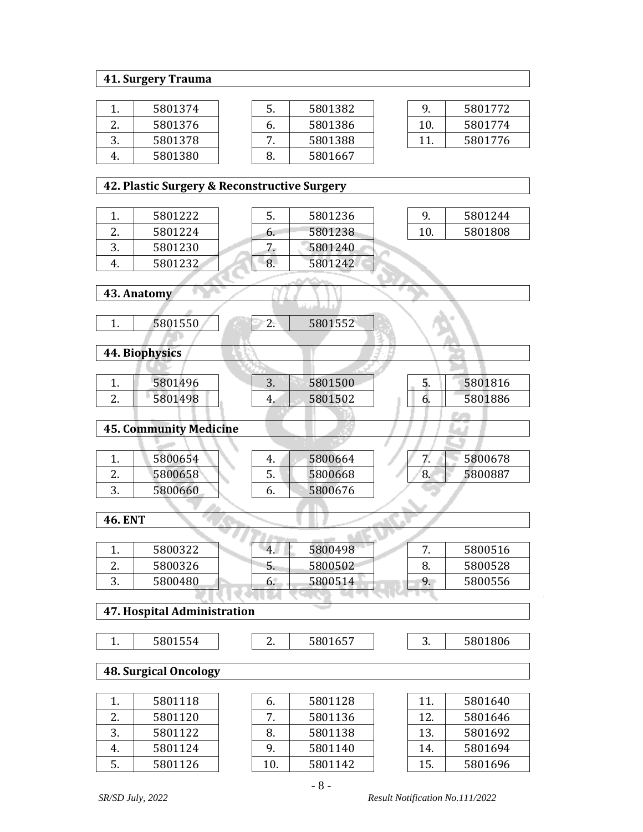#### **41. Surgery Trauma**

|               | 5801374 |
|---------------|---------|
| $\mathcal{L}$ | 5801376 |
| З.            | 5801378 |
|               | 5801380 |

| .5 | 5801382 |
|----|---------|
| 6. | 5801386 |
|    | 5801388 |
|    | 5801667 |

| q   | 5801772 |
|-----|---------|
| 10. | 5801774 |
| 11  | 5801776 |
|     |         |

9. 5801244 10. 5801808

û.

### **42. Plastic Surgery & Reconstructive Surgery**

|               | 5801222 |
|---------------|---------|
| $\mathcal{L}$ | 5801224 |
| 3.            | 5801230 |
|               | 5801232 |
|               |         |

| 5.           | 5801236 |
|--------------|---------|
| 6.           | 5801238 |
|              | 5801240 |
| $\mathbf{R}$ | 5801242 |
|              |         |

| 43. Anatomy |  |  |  |  |  |
|-------------|--|--|--|--|--|

1. 5801550 2. 5801552

| r<br>u |  |
|--------|--|
|        |  |

 **44. Biophysics**

|          | 5801496 | J. | 5801500 | ັ  | 5801816 |
|----------|---------|----|---------|----|---------|
| <u>.</u> | 5801498 | 4. | 5801502 | υ. | 5801886 |
|          |         |    |         |    |         |

 **45. Community Medicine**

|          | 5800654 | ч. | 5800664 |    | 5800678 |
|----------|---------|----|---------|----|---------|
| <u>.</u> | 5800658 | J. | 5800668 | o. | 5800887 |
| J.       | 5800660 | o. | 5800676 |    |         |

 **46. ENT**

| . .      | 5800322 | $-4.$ | 5800498 |    | 5800516 |
|----------|---------|-------|---------|----|---------|
| <u>.</u> | 5800326 | C.    | 5800502 | o. | 5800528 |
| ◡        | 5800480 | b.    | 5800514 |    | 5800556 |
|          |         |       |         |    |         |

# **47. Hospital Administration**

| <b>FONSE</b><br>5 I L<br>-150<br>. . |
|--------------------------------------|

1. 5801554 2. 5801657 3. 5801806

 **48. Surgical Oncology**

|    | 5801118 |
|----|---------|
| 2. | 5801120 |
| З. | 5801122 |
|    | 5801124 |
| 5. | 5801126 |

| 6.  | 5801128 |
|-----|---------|
|     | 5801136 |
| 8.  | 5801138 |
| q   | 5801140 |
| 10. | 5801142 |

| 11. | 5801640 |
|-----|---------|
| 12. | 5801646 |
| 13. | 5801692 |
| 14. | 5801694 |
| 15. | 5801696 |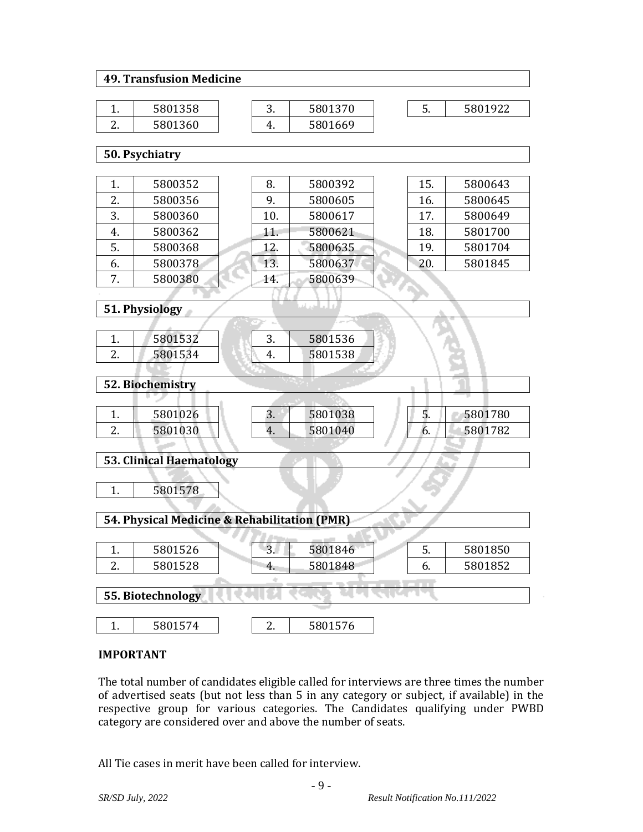#### **49. Transfusion Medicine**

| 5801358 |
|---------|
| 5801360 |

|  | 5801370 |
|--|---------|
|  | 5801669 |

5. 5801922

 **50. Psychiatry**

|    | 5800352 | 8.  | 5800392 | 15. | 5800643 |
|----|---------|-----|---------|-----|---------|
| 2. | 5800356 | 9.  | 5800605 | 16. | 5800645 |
| 3. | 5800360 | 10. | 5800617 | 17. | 5800649 |
| 4. | 5800362 | 11. | 5800621 | 18. | 5801700 |
| 5. | 5800368 | 12. | 5800635 | 19. | 5801704 |
| 6. | 5800378 | 13. | 5800637 | 20. | 5801845 |
| 7. | 5800380 | 14. | 5800639 |     |         |
|    |         |     |         |     |         |

 **51. Physiology**

|          | 5801532 | ັ. | 5801536 |
|----------|---------|----|---------|
| <u>.</u> | 5801534 |    | 5801538 |
|          |         |    |         |

 **52. Biochemistry**

|          | 5801026 | J. | 5801038 | .  | 5801780 |
|----------|---------|----|---------|----|---------|
| <u>.</u> | 5801030 | т. | 5801040 | v. | 5801782 |
|          |         |    |         |    |         |

| <b>53. Clinical Haematology</b>              |                                           |    |         |  |    |         |  |
|----------------------------------------------|-------------------------------------------|----|---------|--|----|---------|--|
| 5801578                                      |                                           |    |         |  |    |         |  |
| 54. Physical Medicine & Rehabilitation (PMR) |                                           |    |         |  |    |         |  |
|                                              |                                           |    |         |  |    |         |  |
|                                              | 5801526                                   | 3. | 5801846 |  | 5. | 5801850 |  |
| 2.                                           | 5801528<br>5801848<br>5801852<br>6.<br>4. |    |         |  |    |         |  |
|                                              |                                           |    |         |  |    |         |  |
| 55. Biotechnology                            |                                           |    |         |  |    |         |  |

1. | 5801574 | | 2. | 5801576

#### **IMPORTANT**

The total number of candidates eligible called for interviews are three times the number of advertised seats (but not less than 5 in any category or subject, if available) in the respective group for various categories. The Candidates qualifying under PWBD category are considered over and above the number of seats.

All Tie cases in merit have been called for interview.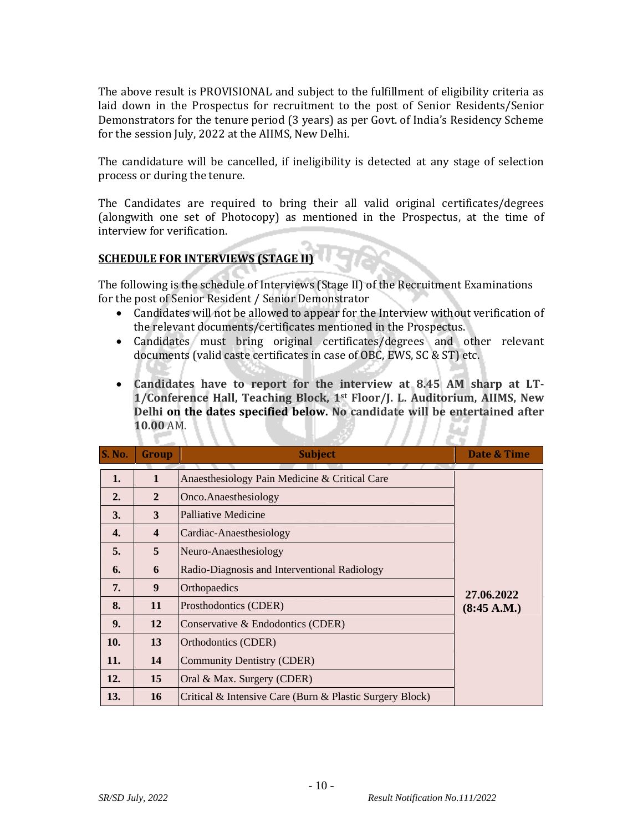The above result is PROVISIONAL and subject to the fulfillment of eligibility criteria as laid down in the Prospectus for recruitment to the post of Senior Residents/Senior Demonstrators for the tenure period (3 years) as per Govt. of India's Residency Scheme for the session July, 2022 at the AIIMS, New Delhi.

The candidature will be cancelled, if ineligibility is detected at any stage of selection process or during the tenure.

The Candidates are required to bring their all valid original certificates/degrees (alongwith one set of Photocopy) as mentioned in the Prospectus, at the time of interview for verification.

#### **SCHEDULE FOR INTERVIEWS (STAGE II)**

УD.

The following is the schedule of Interviews (Stage II) of the Recruitment Examinations for the post of Senior Resident / Senior Demonstrator

- Candidates will not be allowed to appear for the Interview without verification of the relevant documents/certificates mentioned in the Prospectus.
- Candidates must bring original certificates/degrees and other relevant documents (valid caste certificates in case of OBC, EWS, SC & ST) etc.
- **Candidates have to report for the interview at 8.45 AM sharp at LT-1/Conference Hall, Teaching Block, 1st Floor/J. L. Auditorium, AIIMS, New Delhi on the dates specified below. No candidate will be entertained after 10.00** AM.

| <b>S. No.</b> | Group                   | <b>Subject</b>                                           | Date & Time |
|---------------|-------------------------|----------------------------------------------------------|-------------|
| 1.            | 1                       | Anaesthesiology Pain Medicine & Critical Care            |             |
| 2.            | $\overline{2}$          | Onco.Anaesthesiology                                     |             |
| 3.            | 3                       | Palliative Medicine                                      |             |
| 4.            | $\overline{\mathbf{4}}$ | Cardiac-Anaesthesiology                                  |             |
| 5.            | 5                       | Neuro-Anaesthesiology                                    |             |
| 6.            | 6                       | Radio-Diagnosis and Interventional Radiology             |             |
| 7.            | 9                       | Orthopaedics                                             | 27.06.2022  |
| 8.            | 11                      | Prosthodontics (CDER)                                    | (8:45 A.M.) |
| 9.            | 12                      | Conservative & Endodontics (CDER)                        |             |
| 10.           | 13                      | Orthodontics (CDER)                                      |             |
| 11.           | 14                      | <b>Community Dentistry (CDER)</b>                        |             |
| 12.           | 15                      | Oral & Max. Surgery (CDER)                               |             |
| 13.           | 16                      | Critical & Intensive Care (Burn & Plastic Surgery Block) |             |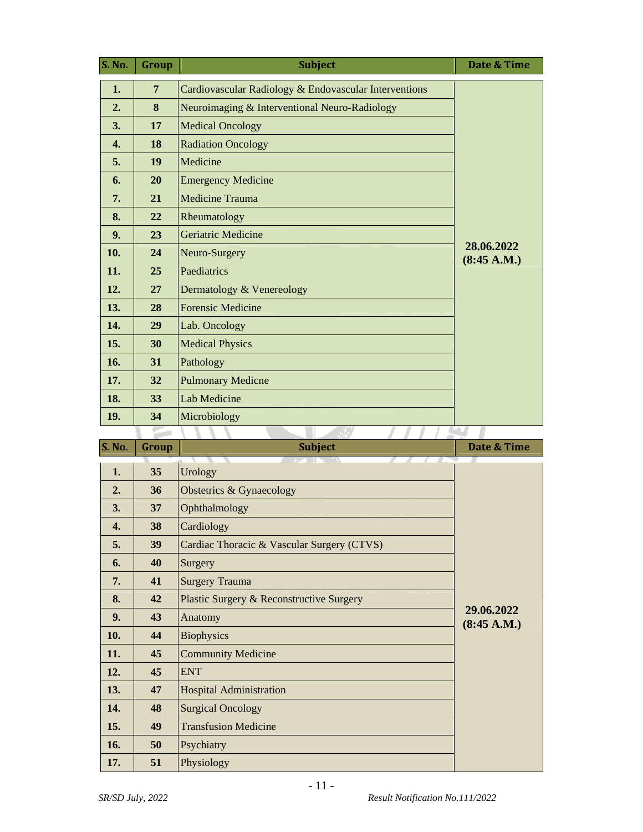| <b>S. No.</b>    | Group          | <b>Subject</b>                                        | Date & Time               |
|------------------|----------------|-------------------------------------------------------|---------------------------|
| 1.               | $\overline{7}$ | Cardiovascular Radiology & Endovascular Interventions |                           |
| 2.               | 8              | Neuroimaging & Interventional Neuro-Radiology         |                           |
| 3.               | 17             | <b>Medical Oncology</b>                               |                           |
| $\overline{4}$ . | 18             | <b>Radiation Oncology</b>                             |                           |
| 5.               | 19             | Medicine                                              |                           |
| 6.               | 20             | <b>Emergency Medicine</b>                             |                           |
| 7.               | 21             | <b>Medicine Trauma</b>                                |                           |
| 8.               | 22             | Rheumatology                                          |                           |
| 9.               | 23             | <b>Geriatric Medicine</b>                             |                           |
| 10.              | 24             | Neuro-Surgery                                         | 28.06.2022<br>(8:45 A.M.) |
| 11.              | 25             | Paediatrics                                           |                           |
| 12.              | 27             | Dermatology & Venereology                             |                           |
| 13.              | 28             | <b>Forensic Medicine</b>                              |                           |
| 14.              | 29             | Lab. Oncology                                         |                           |
| 15.              | 30             | <b>Medical Physics</b>                                |                           |
| 16.              | 31             | Pathology                                             |                           |
| 17.              | 32             | <b>Pulmonary Medicne</b>                              |                           |
| 18.              | 33             | <b>Lab Medicine</b>                                   |                           |
| 19.              | 34             | Microbiology                                          |                           |
|                  |                |                                                       |                           |

| S. No.       | Group | <b>Subject</b>                             | Date & Time               |
|--------------|-------|--------------------------------------------|---------------------------|
| 1.           | 35    | Urology                                    |                           |
| 2.           | 36    | Obstetrics & Gynaecology                   |                           |
| 3.           | 37    | Ophthalmology                              |                           |
| $\mathbf{4}$ | 38    | Cardiology                                 |                           |
| 5.           | 39    | Cardiac Thoracic & Vascular Surgery (CTVS) |                           |
| 6.           | 40    | Surgery                                    |                           |
| 7.           | 41    | <b>Surgery Trauma</b>                      |                           |
| 8.           | 42    | Plastic Surgery & Reconstructive Surgery   |                           |
| 9.           | 43    | Anatomy                                    | 29.06.2022<br>(8:45 A.M.) |
| 10.          | 44    | <b>Biophysics</b>                          |                           |
| 11.          | 45    | <b>Community Medicine</b>                  |                           |
| 12.          | 45    | <b>ENT</b>                                 |                           |
| 13.          | 47    | <b>Hospital Administration</b>             |                           |
| 14.          | 48    | <b>Surgical Oncology</b>                   |                           |
| 15.          | 49    | <b>Transfusion Medicine</b>                |                           |
| <b>16.</b>   | 50    | Psychiatry                                 |                           |
| 17.          | 51    | Physiology                                 |                           |